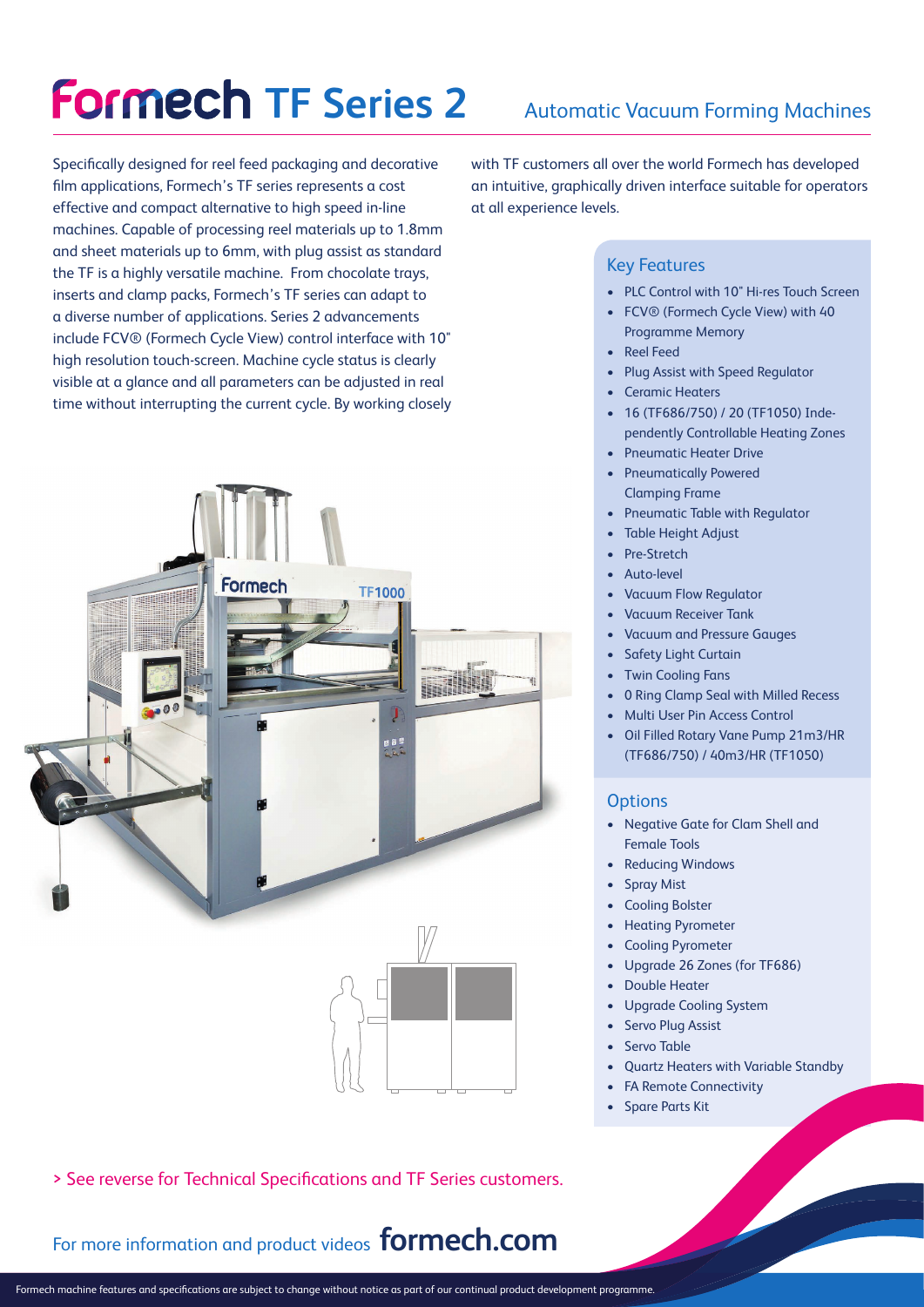# **Formech TF Series 2**

Specifically designed for reel feed packaging and decorative film applications, Formech's TF series represents a cost effective and compact alternative to high speed in-line machines. Capable of processing reel materials up to 1.8mm and sheet materials up to 6mm, with plug assist as standard the TF is a highly versatile machine. From chocolate trays, inserts and clamp packs, Formech's TF series can adapt to a diverse number of applications. Series 2 advancements include FCV® (Formech Cycle View) control interface with 10" high resolution touch-screen. Machine cycle status is clearly visible at a glance and all parameters can be adjusted in real time without interrupting the current cycle. By working closely





> See reverse for Technical Specifications and TF Series customers.

For more information and product videos **formech.com**

with TF customers all over the world Formech has developed an intuitive, graphically driven interface suitable for operators at all experience levels.

#### Key Features

- PLC Control with 10" Hi-res Touch Screen
- FCV® (Formech Cycle View) with 40 Programme Memory
- **Reel Feed**
- Plug Assist with Speed Regulator
- Ceramic Heaters
- 16 (TF686/750) / 20 (TF1050) Independently Controllable Heating Zones
- Pneumatic Heater Drive
- Pneumatically Powered Clamping Frame
- Pneumatic Table with Regulator
- Table Height Adjust
- Pre-Stretch
- Auto-level
- Vacuum Flow Regulator
- Vacuum Receiver Tank
- Vacuum and Pressure Gauges
- Safety Light Curtain
- Twin Cooling Fans
- 0 Ring Clamp Seal with Milled Recess
- Multi User Pin Access Control
- Oil Filled Rotary Vane Pump 21m3/HR (TF686/750) / 40m3/HR (TF1050)

#### **Options**

- Negative Gate for Clam Shell and Female Tools
- Reducing Windows
- **Spray Mist**
- Cooling Bolster
- Heating Pyrometer
- Cooling Pyrometer
- Upgrade 26 Zones (for TF686)
- **Double Heater**
- Upgrade Cooling System
- Servo Plug Assist
- Servo Table
- Quartz Heaters with Variable Standby
- FA Remote Connectivity
- Spare Parts Kit